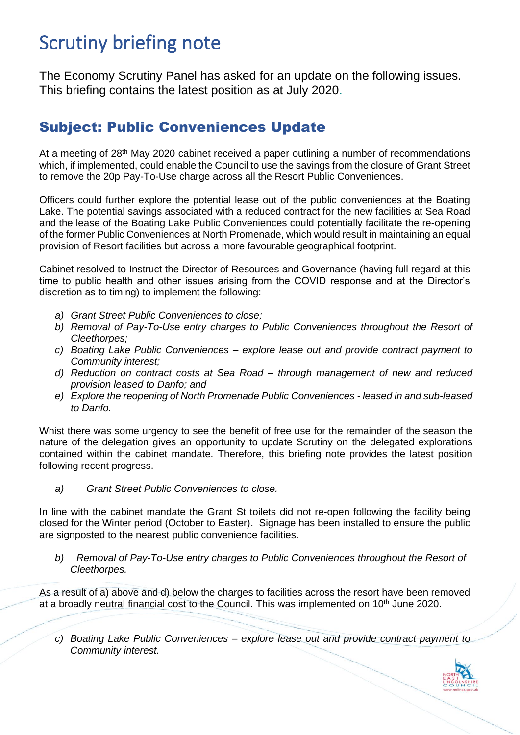## Scrutiny briefing note

The Economy Scrutiny Panel has asked for an update on the following issues. This briefing contains the latest position as at July 2020.

## Subject: Public Conveniences Update

At a meeting of 28<sup>th</sup> May 2020 cabinet received a paper outlining a number of recommendations which, if implemented, could enable the Council to use the savings from the closure of Grant Street to remove the 20p Pay-To-Use charge across all the Resort Public Conveniences.

Officers could further explore the potential lease out of the public conveniences at the Boating Lake. The potential savings associated with a reduced contract for the new facilities at Sea Road and the lease of the Boating Lake Public Conveniences could potentially facilitate the re-opening of the former Public Conveniences at North Promenade, which would result in maintaining an equal provision of Resort facilities but across a more favourable geographical footprint.

Cabinet resolved to Instruct the Director of Resources and Governance (having full regard at this time to public health and other issues arising from the COVID response and at the Director's discretion as to timing) to implement the following:

- *a) Grant Street Public Conveniences to close;*
- *b) Removal of Pay-To-Use entry charges to Public Conveniences throughout the Resort of Cleethorpes;*
- *c) Boating Lake Public Conveniences – explore lease out and provide contract payment to Community interest;*
- *d) Reduction on contract costs at Sea Road – through management of new and reduced provision leased to Danfo; and*
- *e) Explore the reopening of North Promenade Public Conveniences - leased in and sub-leased to Danfo.*

Whist there was some urgency to see the benefit of free use for the remainder of the season the nature of the delegation gives an opportunity to update Scrutiny on the delegated explorations contained within the cabinet mandate. Therefore, this briefing note provides the latest position following recent progress.

*a) Grant Street Public Conveniences to close.*

In line with the cabinet mandate the Grant St toilets did not re-open following the facility being closed for the Winter period (October to Easter). Signage has been installed to ensure the public are signposted to the nearest public convenience facilities.

*b) Removal of Pay-To-Use entry charges to Public Conveniences throughout the Resort of Cleethorpes.*

As a result of a) above and d) below the charges to facilities across the resort have been removed at a broadly neutral financial cost to the Council. This was implemented on 10<sup>th</sup> June 2020.

*c) Boating Lake Public Conveniences – explore lease out and provide contract payment to Community interest.*